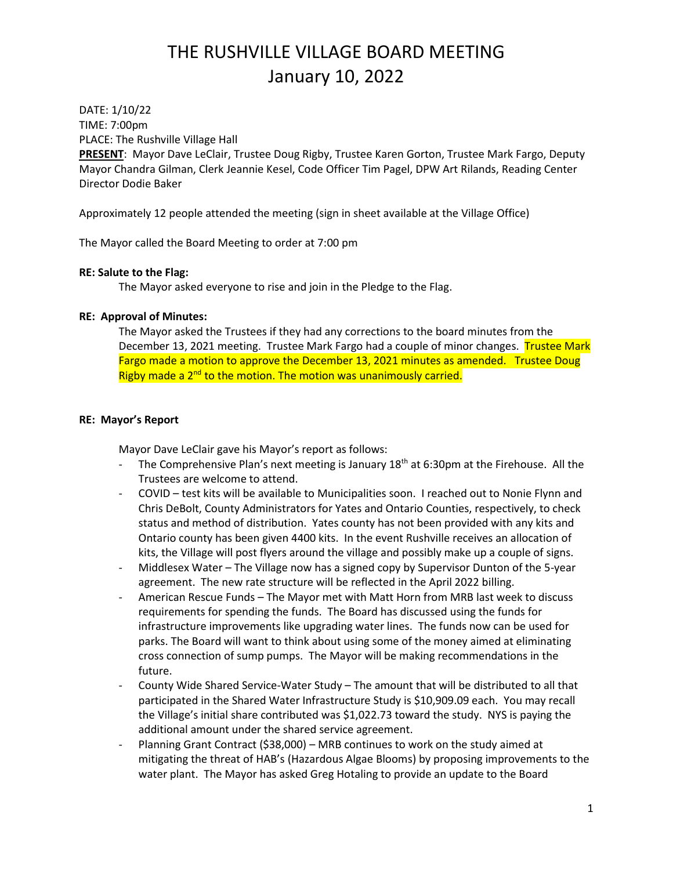DATE: 1/10/22 TIME: 7:00pm PLACE: The Rushville Village Hall

**PRESENT**: Mayor Dave LeClair, Trustee Doug Rigby, Trustee Karen Gorton, Trustee Mark Fargo, Deputy Mayor Chandra Gilman, Clerk Jeannie Kesel, Code Officer Tim Pagel, DPW Art Rilands, Reading Center Director Dodie Baker

Approximately 12 people attended the meeting (sign in sheet available at the Village Office)

The Mayor called the Board Meeting to order at 7:00 pm

## **RE: Salute to the Flag:**

The Mayor asked everyone to rise and join in the Pledge to the Flag.

## **RE: Approval of Minutes:**

The Mayor asked the Trustees if they had any corrections to the board minutes from the December 13, 2021 meeting. Trustee Mark Fargo had a couple of minor changes. Trustee Mark Fargo made a motion to approve the December 13, 2021 minutes as amended. Trustee Doug Rigby made a 2<sup>nd</sup> to the motion. The motion was unanimously carried.

## **RE: Mayor's Report**

Mayor Dave LeClair gave his Mayor's report as follows:

- The Comprehensive Plan's next meeting is January 18<sup>th</sup> at 6:30pm at the Firehouse. All the Trustees are welcome to attend.
- COVID test kits will be available to Municipalities soon. I reached out to Nonie Flynn and Chris DeBolt, County Administrators for Yates and Ontario Counties, respectively, to check status and method of distribution. Yates county has not been provided with any kits and Ontario county has been given 4400 kits. In the event Rushville receives an allocation of kits, the Village will post flyers around the village and possibly make up a couple of signs.
- Middlesex Water The Village now has a signed copy by Supervisor Dunton of the 5-year agreement. The new rate structure will be reflected in the April 2022 billing.
- American Rescue Funds The Mayor met with Matt Horn from MRB last week to discuss requirements for spending the funds. The Board has discussed using the funds for infrastructure improvements like upgrading water lines. The funds now can be used for parks. The Board will want to think about using some of the money aimed at eliminating cross connection of sump pumps. The Mayor will be making recommendations in the future.
- County Wide Shared Service-Water Study The amount that will be distributed to all that participated in the Shared Water Infrastructure Study is \$10,909.09 each. You may recall the Village's initial share contributed was \$1,022.73 toward the study. NYS is paying the additional amount under the shared service agreement.
- Planning Grant Contract (\$38,000) MRB continues to work on the study aimed at mitigating the threat of HAB's (Hazardous Algae Blooms) by proposing improvements to the water plant. The Mayor has asked Greg Hotaling to provide an update to the Board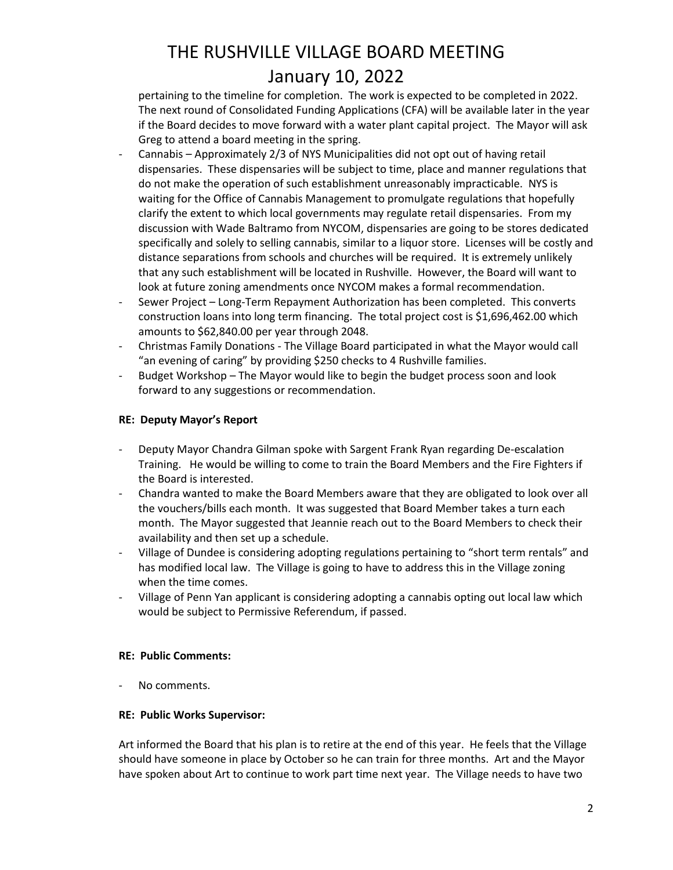pertaining to the timeline for completion. The work is expected to be completed in 2022. The next round of Consolidated Funding Applications (CFA) will be available later in the year if the Board decides to move forward with a water plant capital project. The Mayor will ask Greg to attend a board meeting in the spring.

- Cannabis Approximately 2/3 of NYS Municipalities did not opt out of having retail dispensaries. These dispensaries will be subject to time, place and manner regulations that do not make the operation of such establishment unreasonably impracticable. NYS is waiting for the Office of Cannabis Management to promulgate regulations that hopefully clarify the extent to which local governments may regulate retail dispensaries. From my discussion with Wade Baltramo from NYCOM, dispensaries are going to be stores dedicated specifically and solely to selling cannabis, similar to a liquor store. Licenses will be costly and distance separations from schools and churches will be required. It is extremely unlikely that any such establishment will be located in Rushville. However, the Board will want to look at future zoning amendments once NYCOM makes a formal recommendation.
- Sewer Project Long-Term Repayment Authorization has been completed. This converts construction loans into long term financing. The total project cost is \$1,696,462.00 which amounts to \$62,840.00 per year through 2048.
- Christmas Family Donations The Village Board participated in what the Mayor would call "an evening of caring" by providing \$250 checks to 4 Rushville families.
- Budget Workshop The Mayor would like to begin the budget process soon and look forward to any suggestions or recommendation.

## **RE: Deputy Mayor's Report**

- Deputy Mayor Chandra Gilman spoke with Sargent Frank Ryan regarding De-escalation Training. He would be willing to come to train the Board Members and the Fire Fighters if the Board is interested.
- Chandra wanted to make the Board Members aware that they are obligated to look over all the vouchers/bills each month. It was suggested that Board Member takes a turn each month. The Mayor suggested that Jeannie reach out to the Board Members to check their availability and then set up a schedule.
- Village of Dundee is considering adopting regulations pertaining to "short term rentals" and has modified local law. The Village is going to have to address this in the Village zoning when the time comes.
- Village of Penn Yan applicant is considering adopting a cannabis opting out local law which would be subject to Permissive Referendum, if passed.

## **RE: Public Comments:**

No comments.

## **RE: Public Works Supervisor:**

Art informed the Board that his plan is to retire at the end of this year. He feels that the Village should have someone in place by October so he can train for three months. Art and the Mayor have spoken about Art to continue to work part time next year. The Village needs to have two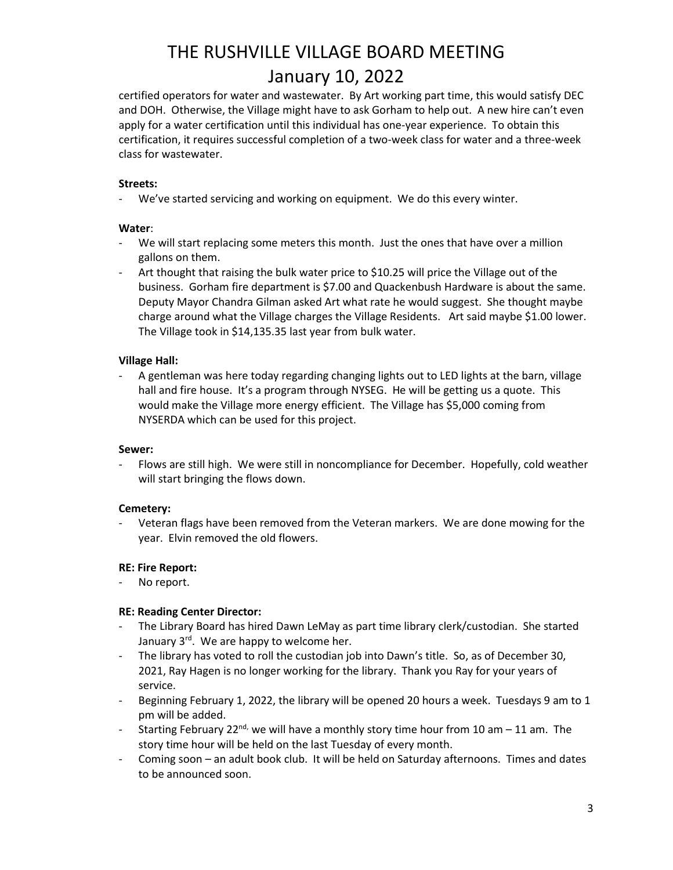certified operators for water and wastewater. By Art working part time, this would satisfy DEC and DOH. Otherwise, the Village might have to ask Gorham to help out. A new hire can't even apply for a water certification until this individual has one-year experience. To obtain this certification, it requires successful completion of a two-week class for water and a three-week class for wastewater.

### **Streets:**

- We've started servicing and working on equipment. We do this every winter.

## **Water**:

- We will start replacing some meters this month. Just the ones that have over a million gallons on them.
- Art thought that raising the bulk water price to \$10.25 will price the Village out of the business. Gorham fire department is \$7.00 and Quackenbush Hardware is about the same. Deputy Mayor Chandra Gilman asked Art what rate he would suggest. She thought maybe charge around what the Village charges the Village Residents. Art said maybe \$1.00 lower. The Village took in \$14,135.35 last year from bulk water.

## **Village Hall:**

A gentleman was here today regarding changing lights out to LED lights at the barn, village hall and fire house. It's a program through NYSEG. He will be getting us a quote. This would make the Village more energy efficient. The Village has \$5,000 coming from NYSERDA which can be used for this project.

### **Sewer:**

Flows are still high. We were still in noncompliance for December. Hopefully, cold weather will start bringing the flows down.

### **Cemetery:**

Veteran flags have been removed from the Veteran markers. We are done mowing for the year. Elvin removed the old flowers.

## **RE: Fire Report:**

No report.

### **RE: Reading Center Director:**

- The Library Board has hired Dawn LeMay as part time library clerk/custodian. She started January  $3^{rd}$ . We are happy to welcome her.
- The library has voted to roll the custodian job into Dawn's title. So, as of December 30, 2021, Ray Hagen is no longer working for the library. Thank you Ray for your years of service.
- Beginning February 1, 2022, the library will be opened 20 hours a week. Tuesdays 9 am to 1 pm will be added.
- Starting February 22<sup>nd,</sup> we will have a monthly story time hour from 10 am 11 am. The story time hour will be held on the last Tuesday of every month.
- Coming soon an adult book club. It will be held on Saturday afternoons. Times and dates to be announced soon.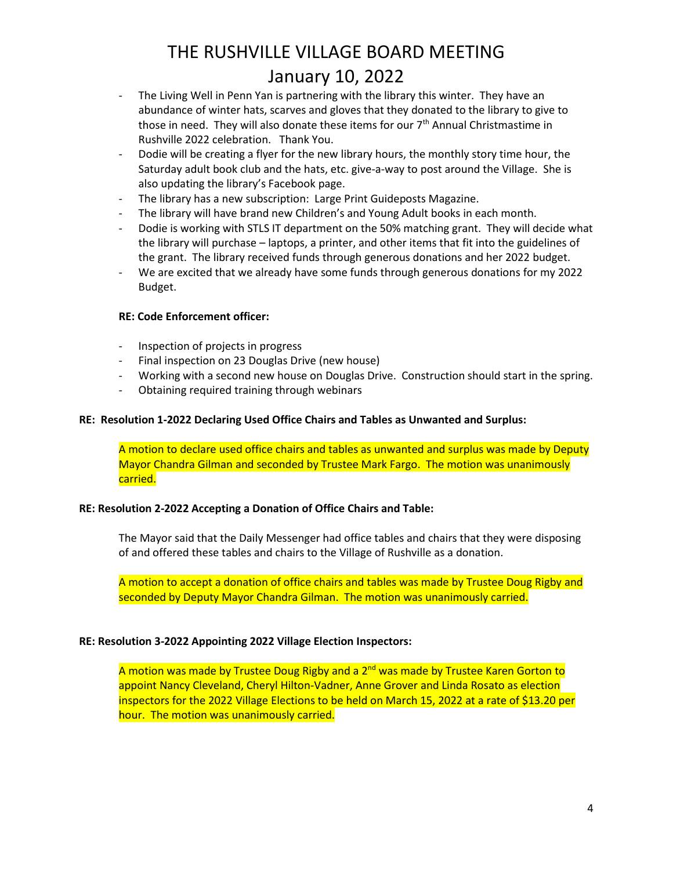- The Living Well in Penn Yan is partnering with the library this winter. They have an abundance of winter hats, scarves and gloves that they donated to the library to give to those in need. They will also donate these items for our 7<sup>th</sup> Annual Christmastime in Rushville 2022 celebration. Thank You.
- Dodie will be creating a flyer for the new library hours, the monthly story time hour, the Saturday adult book club and the hats, etc. give-a-way to post around the Village. She is also updating the library's Facebook page.
- The library has a new subscription: Large Print Guideposts Magazine.
- The library will have brand new Children's and Young Adult books in each month.
- Dodie is working with STLS IT department on the 50% matching grant. They will decide what the library will purchase – laptops, a printer, and other items that fit into the guidelines of the grant. The library received funds through generous donations and her 2022 budget.
- We are excited that we already have some funds through generous donations for my 2022 Budget.

### **RE: Code Enforcement officer:**

- Inspection of projects in progress
- Final inspection on 23 Douglas Drive (new house)
- Working with a second new house on Douglas Drive. Construction should start in the spring.
- Obtaining required training through webinars

### **RE: Resolution 1-2022 Declaring Used Office Chairs and Tables as Unwanted and Surplus:**

A motion to declare used office chairs and tables as unwanted and surplus was made by Deputy Mayor Chandra Gilman and seconded by Trustee Mark Fargo. The motion was unanimously carried.

### **RE: Resolution 2-2022 Accepting a Donation of Office Chairs and Table:**

The Mayor said that the Daily Messenger had office tables and chairs that they were disposing of and offered these tables and chairs to the Village of Rushville as a donation.

A motion to accept a donation of office chairs and tables was made by Trustee Doug Rigby and seconded by Deputy Mayor Chandra Gilman. The motion was unanimously carried.

### **RE: Resolution 3-2022 Appointing 2022 Village Election Inspectors:**

A motion was made by Trustee Doug Rigby and a 2<sup>nd</sup> was made by Trustee Karen Gorton to appoint Nancy Cleveland, Cheryl Hilton-Vadner, Anne Grover and Linda Rosato as election inspectors for the 2022 Village Elections to be held on March 15, 2022 at a rate of \$13.20 per hour. The motion was unanimously carried.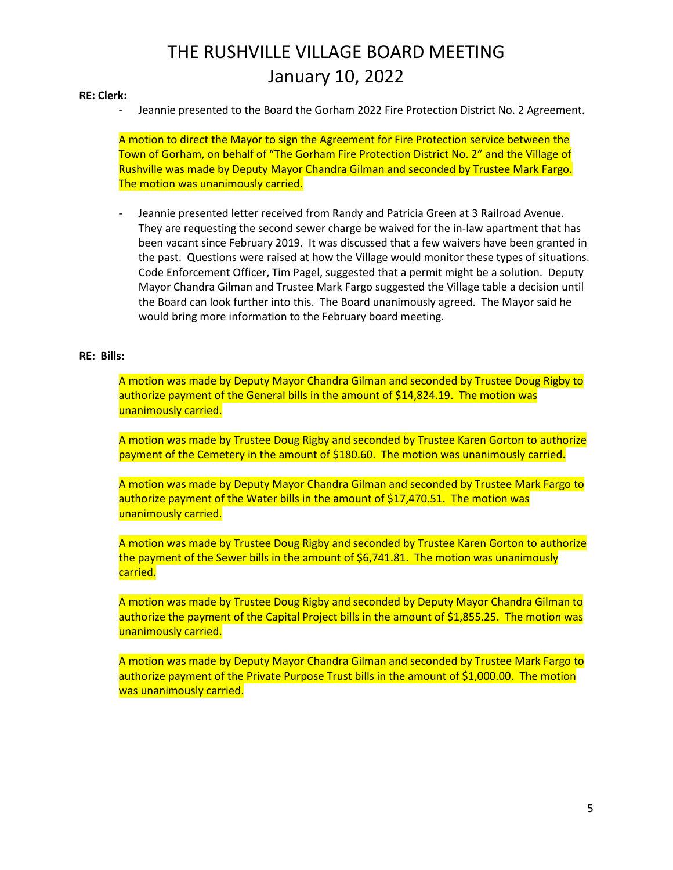#### **RE: Clerk:**

Jeannie presented to the Board the Gorham 2022 Fire Protection District No. 2 Agreement.

A motion to direct the Mayor to sign the Agreement for Fire Protection service between the Town of Gorham, on behalf of "The Gorham Fire Protection District No. 2" and the Village of Rushville was made by Deputy Mayor Chandra Gilman and seconded by Trustee Mark Fargo. The motion was unanimously carried.

- Jeannie presented letter received from Randy and Patricia Green at 3 Railroad Avenue. They are requesting the second sewer charge be waived for the in-law apartment that has been vacant since February 2019. It was discussed that a few waivers have been granted in the past. Questions were raised at how the Village would monitor these types of situations. Code Enforcement Officer, Tim Pagel, suggested that a permit might be a solution. Deputy Mayor Chandra Gilman and Trustee Mark Fargo suggested the Village table a decision until the Board can look further into this. The Board unanimously agreed. The Mayor said he would bring more information to the February board meeting.

### **RE: Bills:**

A motion was made by Deputy Mayor Chandra Gilman and seconded by Trustee Doug Rigby to authorize payment of the General bills in the amount of \$14,824.19. The motion was unanimously carried.

A motion was made by Trustee Doug Rigby and seconded by Trustee Karen Gorton to authorize payment of the Cemetery in the amount of \$180.60. The motion was unanimously carried.

A motion was made by Deputy Mayor Chandra Gilman and seconded by Trustee Mark Fargo to authorize payment of the Water bills in the amount of \$17,470.51. The motion was unanimously carried.

A motion was made by Trustee Doug Rigby and seconded by Trustee Karen Gorton to authorize the payment of the Sewer bills in the amount of \$6,741.81. The motion was unanimously carried.

A motion was made by Trustee Doug Rigby and seconded by Deputy Mayor Chandra Gilman to authorize the payment of the Capital Project bills in the amount of \$1,855.25. The motion was unanimously carried.

A motion was made by Deputy Mayor Chandra Gilman and seconded by Trustee Mark Fargo to authorize payment of the Private Purpose Trust bills in the amount of \$1,000.00. The motion was unanimously carried.